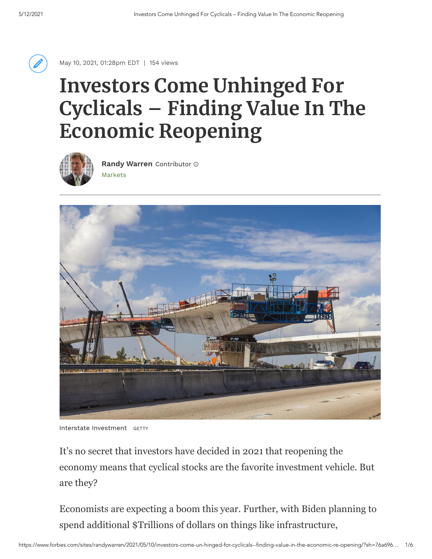

May 10, 2021, 01:28pm EDT | 154 views

## **Investors Come Unhinged For Cyclicals – Finding Value In The Economic Reopening**



[Markets](https://www.forbes.com/markets) **Randy [Warren](https://www.forbes.com/sites/randywarren/)** Contributor



Interstate Investment GETTY

It's no secret that investors have decided in 2021 that reopening the economy means that cyclical stocks are the favorite investment vehicle. But are they?

Economists are expecting a boom this year. Further, with Biden planning to spend additional \$Trillions of dollars on things like infrastructure,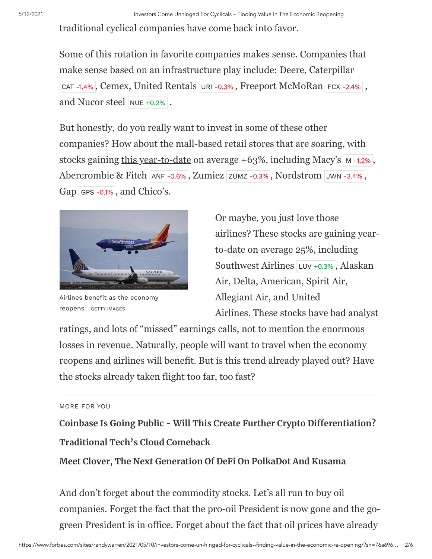traditional cyclical companies have come back into favor.

Some of this rotation in favorite companies makes sense. Companies that make sense based on an infrastructure play include: Deere, Caterpillar [CAT](https://www.forbes.com/companies/caterpillar) [-1.4%](https://www.forbes.com/companies/caterpillar), Cemex, United Rentals [URI](https://www.forbes.com/companies/united-rentals) [-0.3%](https://www.forbes.com/companies/united-rentals), Freeport McMoRan [FCX](https://www.forbes.com/companies/freeport-mcmoran) [-2.4%](https://www.forbes.com/companies/freeport-mcmoran), and Nucor steel [NUE](https://www.forbes.com/companies/nucor) [+0.2%](https://www.forbes.com/companies/nucor).

But honestly, do you really want to invest in some of these other companies? How about the mall-based retail stores that are soaring, with stocks gaining this year-to-date on average  $+63\%$ , including [M](https://www.forbes.com/companies/macys)acy's  $\vert$  M [-1.2%](https://www.forbes.com/companies/macys), Abercrombie & Fitch [ANF](https://www.forbes.com/companies/abercrombie-fitch) [-0.6%](https://www.forbes.com/companies/abercrombie-fitch), Zumiez [ZUMZ](https://www.forbes.com/companies/zumiez) [-0.3%](https://www.forbes.com/companies/zumiez), Nordstrom [JWN](https://www.forbes.com/companies/nordstrom) [-3.4%](https://www.forbes.com/companies/nordstrom), Gap [GPS](https://www.forbes.com/companies/gap) [-0.1%](https://www.forbes.com/companies/gap), and Chico's.



Airlines benefit as the economy reopens GETTY IMAGES

Or maybe, you just love those airlines? These stocks are gaining yearto-date on average 25%, including Southwest Airlines [LUV](https://www.forbes.com/companies/southwest-airlines) [+0.3%](https://www.forbes.com/companies/southwest-airlines) , Alaskan Air, Delta, American, Spirit Air, Allegiant Air, and United Airlines. These stocks have bad analyst

ratings, and lots of "missed" earnings calls, not to mention the enormous losses in revenue. Naturally, people will want to travel when the economy reopens and airlines will benefit. But is this trend already played out? Have the stocks already taken flight too far, too fast?

## MORE FOR YOU

**[Coinbase Is Going Public - Will This Create Further Crypto Differentiation?](https://www.forbes.com/sites/seansteinsmith/2021/04/14/coinbase-is-going-publicwill-this-create-further-crypto-differentiation/) [Traditional Tech's Cloud Comeback](https://www.forbes.com/sites/rscottraynovich/2021/04/29/traditional-techs-cloud-comeback/)**

**[Meet Clover, The Next Generation Of DeFi On PolkaDot And Kusama](https://www.forbes.com/sites/tatianakoffman/2021/04/20/meet-clover-the-next-generation-of-defi-on-polkadot-and-kusama/)**

And don't forget about the commodity stocks. Let's all run to buy oil companies. Forget the fact that the pro-oil President is now gone and the gogreen President is in office. Forget about the fact that oil prices have already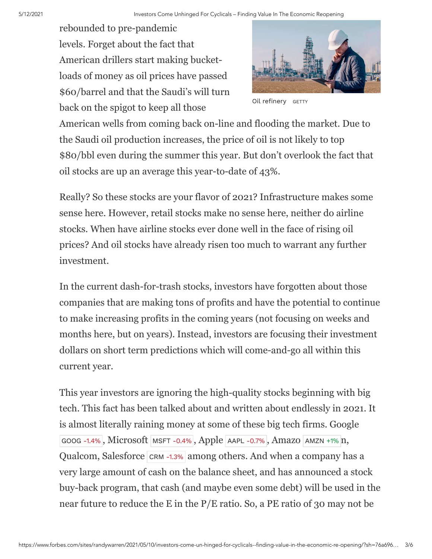rebounded to pre-pandemic levels. Forget about the fact that American drillers start making bucketloads of money as oil prices have passed \$60/barrel and that the Saudi's will turn back on the spigot to keep all those



Oil refinery GETTY

American wells from coming back on-line and flooding the market. Due to the Saudi oil production increases, the price of oil is not likely to top \$80/bbl even during the summer this year. But don't overlook the fact that oil stocks are up an average this year-to-date of 43%.

Really? So these stocks are your flavor of 2021? Infrastructure makes some sense here. However, retail stocks make no sense here, neither do airline stocks. When have airline stocks ever done well in the face of rising oil prices? And oil stocks have already risen too much to warrant any further investment.

In the current dash-for-trash stocks, investors have forgotten about those companies that are making tons of profits and have the potential to continue to make increasing profits in the coming years (not focusing on weeks and months here, but on years). Instead, investors are focusing their investment dollars on short term predictions which will come-and-go all within this current year.

This year investors are ignoring the high-quality stocks beginning with big tech. This fact has been talked about and written about endlessly in 2021. It is almost literally raining money at some of these big tech firms. Google [GOOG](https://www.forbes.com/companies/google) [-1.4%](https://www.forbes.com/companies/google), Microsoft [MSFT](https://www.forbes.com/companies/microsoft) [-0.4%](https://www.forbes.com/companies/microsoft), Apple [AAPL](https://www.forbes.com/companies/apple) [-0.7%](https://www.forbes.com/companies/apple), Amazo [AMZN](https://www.forbes.com/companies/amazon) [+1%](https://www.forbes.com/companies/amazon) n, Qualcom, Salesforce [CRM](https://www.forbes.com/companies/salesforce) [-1.3%](https://www.forbes.com/companies/salesforce) among others. And when a company has a very large amount of cash on the balance sheet, and has announced a stock buy-back program, that cash (and maybe even some debt) will be used in the near future to reduce the E in the P/E ratio. So, a PE ratio of 30 may not be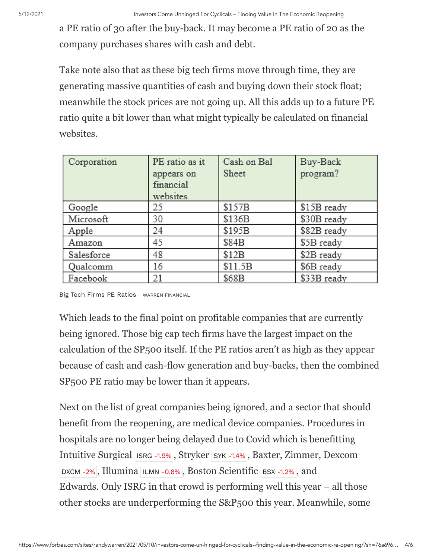a PE ratio of 30 after the buy-back. It may become a PE ratio of 20 as the company purchases shares with cash and debt.

Take note also that as these big tech firms move through time, they are generating massive quantities of cash and buying down their stock float; meanwhile the stock prices are not going up. All this adds up to a future PE ratio quite a bit lower than what might typically be calculated on financial websites.

| Corporation | PE ratio as it<br>appears on<br>financial<br>websites | Cash on Bal<br>Sheet | Buy-Back<br>program? |
|-------------|-------------------------------------------------------|----------------------|----------------------|
|             |                                                       |                      |                      |
| Google      | 25                                                    | \$157B               | \$15B ready          |
| Microsoft   | 30                                                    | \$136B               | \$30B ready          |
| Apple       | 24                                                    | \$195B               | \$82B ready          |
| Amazon      | 45                                                    | \$84B                | \$5B ready           |
| Salesforce  | 48                                                    | \$12B                | \$2B ready           |
| Qualcomm    | 16                                                    | \$11.5B              | \$6B ready           |
| Facebook    | 21                                                    | \$68B                | \$33B ready          |

Big Tech Firms PE Ratios WARREN FINANCIAL

Which leads to the final point on profitable companies that are currently being ignored. Those big cap tech firms have the largest impact on the calculation of the SP500 itself. If the PE ratios aren't as high as they appear because of cash and cash-flow generation and buy-backs, then the combined SP500 PE ratio may be lower than it appears.

Next on the list of great companies being ignored, and a sector that should benefit from the reopening, are medical device companies. Procedures in hospitals are no longer being delayed due to Covid which is benefitting Intuitive Surgical [ISRG](https://www.forbes.com/companies/intuitive-surgical) [-1.9%](https://www.forbes.com/companies/intuitive-surgical), Stryker [SYK](https://www.forbes.com/companies/stryker) [-1.4%](https://www.forbes.com/companies/stryker), Baxter, Zimmer, Dexcom [DXCM](https://www.forbes.com/companies/dexcom) [-2%](https://www.forbes.com/companies/dexcom), Illumina [ILMN](https://www.forbes.com/companies/illumina) [-0.8%](https://www.forbes.com/companies/illumina), Boston Scientific [BSX](https://www.forbes.com/companies/boston-scientific) [-1.2%](https://www.forbes.com/companies/boston-scientific), and Edwards. Only ISRG in that crowd is performing well this year – all those other stocks are underperforming the S&P500 this year. Meanwhile, some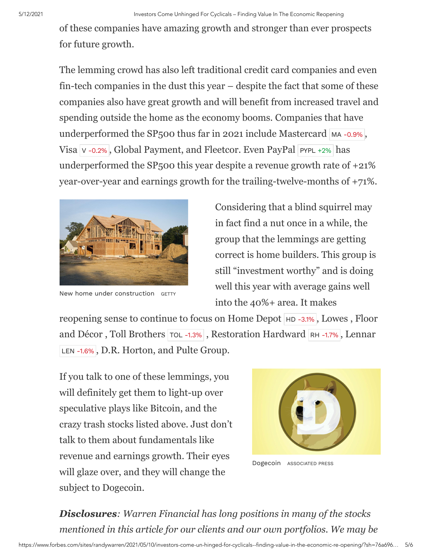of these companies have amazing growth and stronger than ever prospects for future growth.

The lemming crowd has also left traditional credit card companies and even fin-tech companies in the dust this year – despite the fact that some of these companies also have great growth and will benefit from increased travel and spending outside the home as the economy booms. Companies that have underperformed the SP500 thus far in 2021 include Mastercard [MA](https://www.forbes.com/companies/mastercard) [-0.9%](https://www.forbes.com/companies/mastercard), [V](https://www.forbes.com/companies/visa)isa v [-0.2%](https://www.forbes.com/companies/visa), Global Payment, and Fleetcor. Even PayPal [PYPL](https://www.forbes.com/companies/paypal) [+2%](https://www.forbes.com/companies/paypal) has underperformed the SP $500$  this year despite a revenue growth rate of  $+21\%$ year-over-year and earnings growth for the trailing-twelve-months of +71%.



New home under construction GETTY

Considering that a blind squirrel may in fact find a nut once in a while, the group that the lemmings are getting correct is home builders. This group is still "investment worthy" and is doing well this year with average gains well into the 40%+ area. It makes

reopening sense to continue to focus on Home Depot  $H<sub>D</sub>$  [-3.1%](https://www.forbes.com/companies/home-depot), Lowes, Floor and Décor, Toll Brothers [TOL](https://www.forbes.com/companies/toll-brothers) [-1.3%](https://www.forbes.com/companies/toll-brothers), Restoration Hardward [RH](https://www.forbes.com/companies/rh) [-1.7%](https://www.forbes.com/companies/rh), Lennar [LEN](https://www.forbes.com/companies/lennar) [-1.6%](https://www.forbes.com/companies/lennar), D.R. Horton, and Pulte Group.

If you talk to one of these lemmings, you will definitely get them to light-up over speculative plays like Bitcoin, and the crazy trash stocks listed above. Just don't talk to them about fundamentals like revenue and earnings growth. Their eyes will glaze over, and they will change the subject to Dogecoin.



Dogecoin ASSOCIATED PRESS

*Disclosures: Warren Financial has long positions in many of the stocks mentioned in this article for our clients and our own portfolios. We may be*